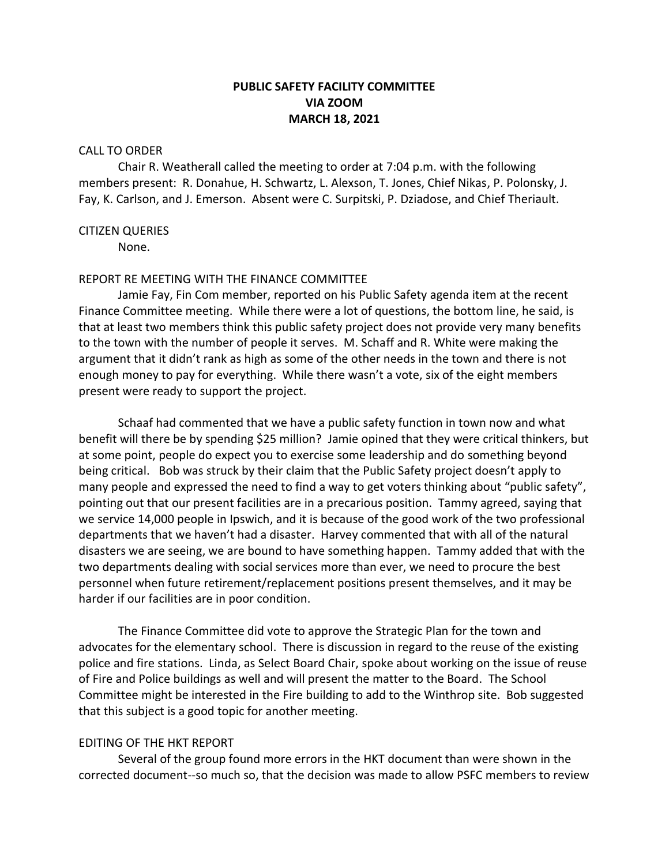# **PUBLIC SAFETY FACILITY COMMITTEE VIA ZOOM MARCH 18, 2021**

#### CALL TO ORDER

Chair R. Weatherall called the meeting to order at 7:04 p.m. with the following members present: R. Donahue, H. Schwartz, L. Alexson, T. Jones, Chief Nikas, P. Polonsky, J. Fay, K. Carlson, and J. Emerson. Absent were C. Surpitski, P. Dziadose, and Chief Theriault.

#### CITIZEN QUERIES

None.

#### REPORT RE MEETING WITH THE FINANCE COMMITTEE

Jamie Fay, Fin Com member, reported on his Public Safety agenda item at the recent Finance Committee meeting. While there were a lot of questions, the bottom line, he said, is that at least two members think this public safety project does not provide very many benefits to the town with the number of people it serves. M. Schaff and R. White were making the argument that it didn't rank as high as some of the other needs in the town and there is not enough money to pay for everything. While there wasn't a vote, six of the eight members present were ready to support the project.

Schaaf had commented that we have a public safety function in town now and what benefit will there be by spending \$25 million? Jamie opined that they were critical thinkers, but at some point, people do expect you to exercise some leadership and do something beyond being critical. Bob was struck by their claim that the Public Safety project doesn't apply to many people and expressed the need to find a way to get voters thinking about "public safety", pointing out that our present facilities are in a precarious position. Tammy agreed, saying that we service 14,000 people in Ipswich, and it is because of the good work of the two professional departments that we haven't had a disaster. Harvey commented that with all of the natural disasters we are seeing, we are bound to have something happen. Tammy added that with the two departments dealing with social services more than ever, we need to procure the best personnel when future retirement/replacement positions present themselves, and it may be harder if our facilities are in poor condition.

The Finance Committee did vote to approve the Strategic Plan for the town and advocates for the elementary school. There is discussion in regard to the reuse of the existing police and fire stations. Linda, as Select Board Chair, spoke about working on the issue of reuse of Fire and Police buildings as well and will present the matter to the Board. The School Committee might be interested in the Fire building to add to the Winthrop site. Bob suggested that this subject is a good topic for another meeting.

### EDITING OF THE HKT REPORT

Several of the group found more errors in the HKT document than were shown in the corrected document--so much so, that the decision was made to allow PSFC members to review